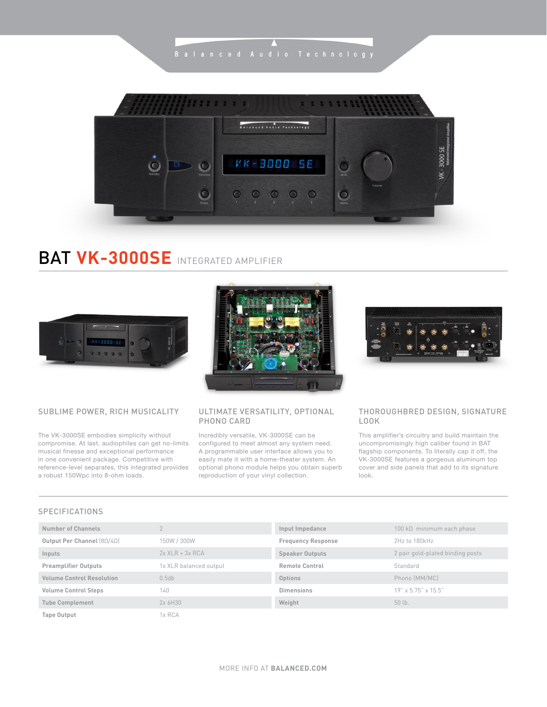$\overline{\phantom{a}}$ 



# BAT **VK-3000SE** INTEGRATED AMPLIFIER



# SUBLIME POWER, RICH MUSICALITY

The VK-3000SE embodies simplicity without compromise. At last, audiophiles can get no-limits musical finesse and exceptional performance in one convenient package. Competitive with reference-level separates, this integrated provides a robust 150Wpc into 8-ohm loads.



# ULTIMATE VERSATILITY, OPTIONAL PHONO CARD

Incredibly versatile, VK-3000SE can be configured to meet almost any system need. A programmable user interface allows you to easily mate it with a home-theater system. An optional phono module helps you obtain superb reproduction of your vinyl collection.



## THOROUGHBRED DESIGN, SIGNATURE LOOK

This amplifier's circuitry and build maintain the uncompromisingly high caliber found in BAT flagship components. To literally cap it off, the VK-3000SE features a gorgeous aluminum top cover and side panels that add to its signature look.

### SPECIFICATIONS

| Number of Channels                     |                        | Input Impedance           | $100 \mathrm{k}$ Ω minimum each phase |
|----------------------------------------|------------------------|---------------------------|---------------------------------------|
| Output Per Channel $(8\Omega/4\Omega)$ | 150W / 300W            | <b>Frequency Response</b> | 2Hz to 180kHz                         |
| Inputs                                 | $2x$ XLR + $3x$ RCA    | <b>Speaker Outputs</b>    | 2 pair gold-plated binding posts      |
| <b>Preamplifier Outputs</b>            | 1x XLR balanced output | <b>Remote Control</b>     | Standard                              |
| <b>Volume Control Resolution</b>       | 0.5db                  | Options                   | Phono (MM/MC)                         |
| <b>Volume Control Steps</b>            | 140                    | Dimensions                | $19''$ x 5.75" x 15.5"                |
| <b>Tube Complement</b>                 | 2x6H30                 | Weight                    | 50 lb.                                |
| <b>Tape Output</b>                     | 1x RCA                 |                           |                                       |